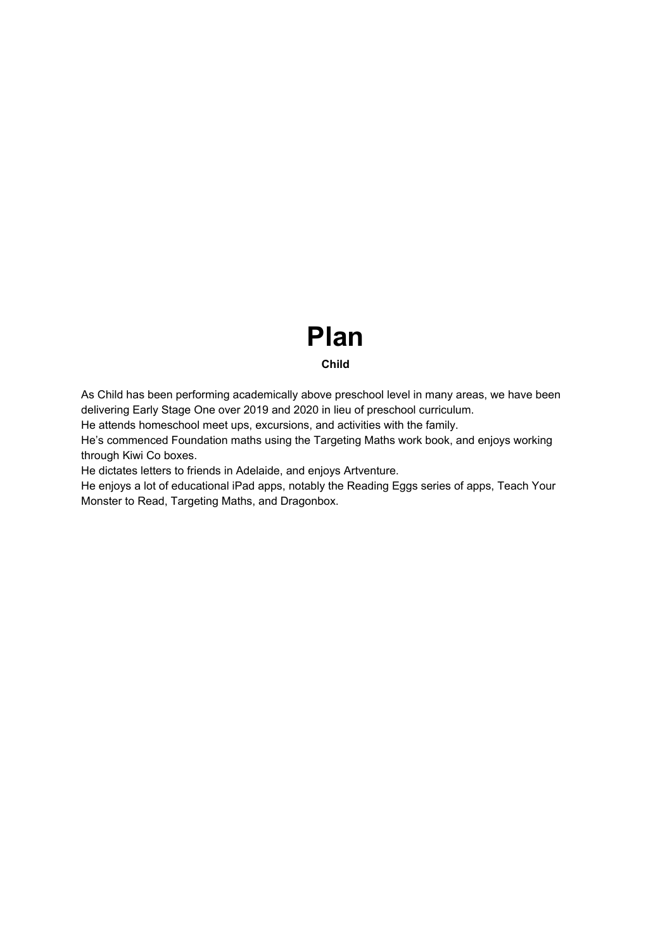# **Plan**

# **Child**

As Child has been performing academically above preschool level in many areas, we have been delivering Early Stage One over 2019 and 2020 in lieu of preschool curriculum.

He attends homeschool meet ups, excursions, and activities with the family.

He's commenced Foundation maths using the Targeting Maths work book, and enjoys working through Kiwi Co boxes.

He dictates letters to friends in Adelaide, and enjoys Artventure.

He enjoys a lot of educational iPad apps, notably the Reading Eggs series of apps, Teach Your Monster to Read, Targeting Maths, and Dragonbox.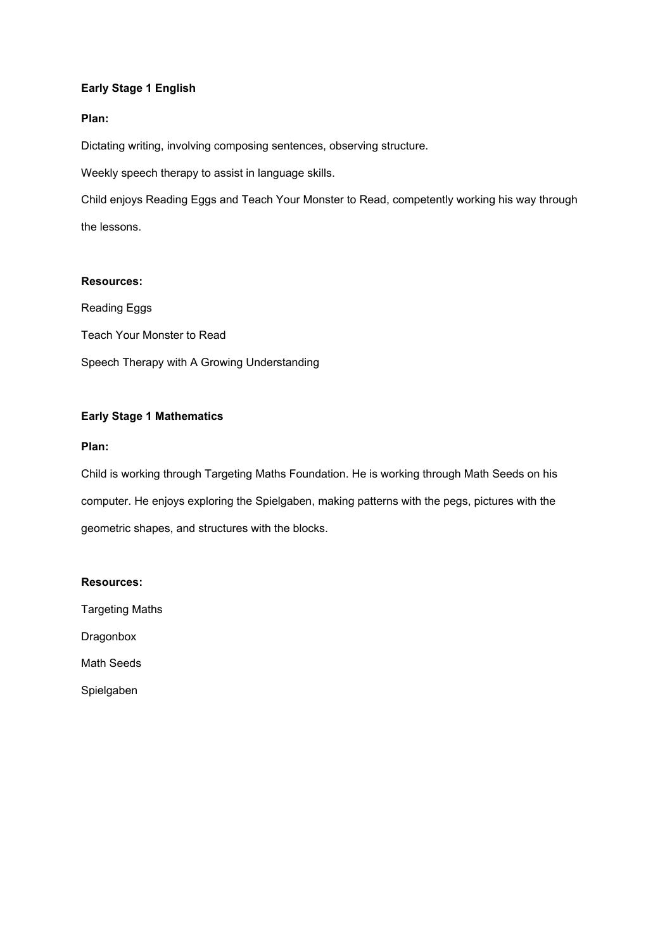# **Early Stage 1 English**

## **Plan:**

Dictating writing, involving composing sentences, observing structure.

Weekly speech therapy to assist in language skills.

Child enjoys Reading Eggs and Teach Your Monster to Read, competently working his way through the lessons.

## **Resources:**

Reading Eggs Teach Your Monster to Read Speech Therapy with A Growing Understanding

# **Early Stage 1 Mathematics**

#### **Plan:**

Child is working through Targeting Maths Foundation. He is working through Math Seeds on his computer. He enjoys exploring the Spielgaben, making patterns with the pegs, pictures with the geometric shapes, and structures with the blocks.

#### **Resources:**

Targeting Maths

Dragonbox

Math Seeds

Spielgaben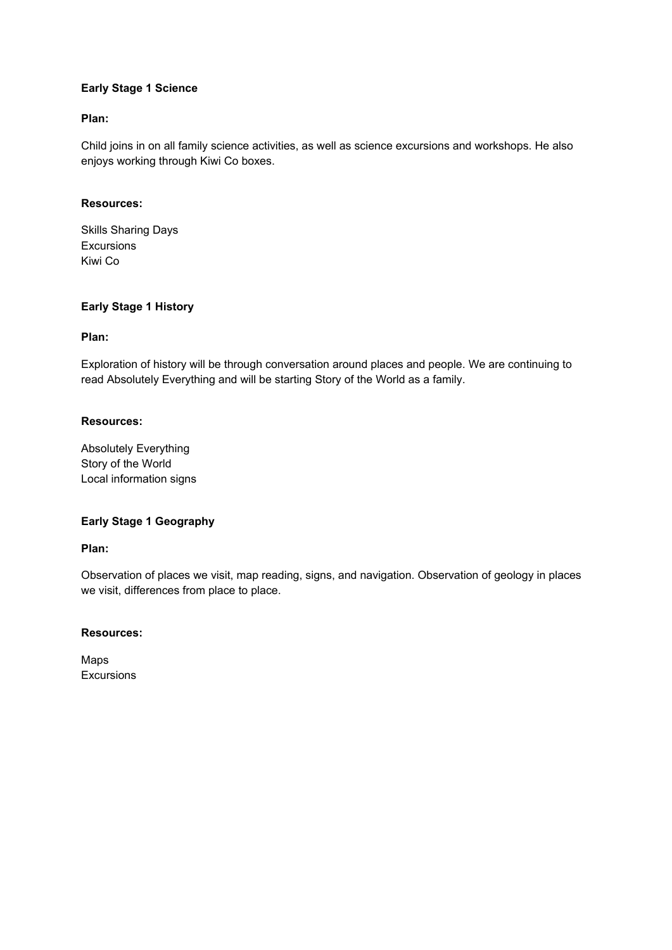# **Early Stage 1 Science**

## **Plan:**

Child joins in on all family science activities, as well as science excursions and workshops. He also enjoys working through Kiwi Co boxes.

#### **Resources:**

Skills Sharing Days **Excursions** Kiwi Co

# **Early Stage 1 History**

## **Plan:**

Exploration of history will be through conversation around places and people. We are continuing to read Absolutely Everything and will be starting Story of the World as a family.

## **Resources:**

Absolutely Everything Story of the World Local information signs

## **Early Stage 1 Geography**

#### **Plan:**

Observation of places we visit, map reading, signs, and navigation. Observation of geology in places we visit, differences from place to place.

#### **Resources:**

Maps Excursions